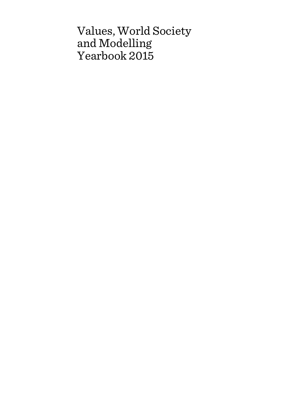# Values, World Society and Modelling Yearbook 2015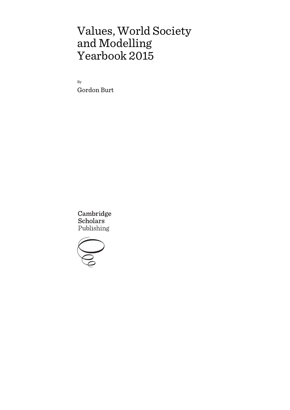# Values, World Society and Modelling Yearbook 2015

By Gordon Burt

Cambridge **Scholars** Publishing

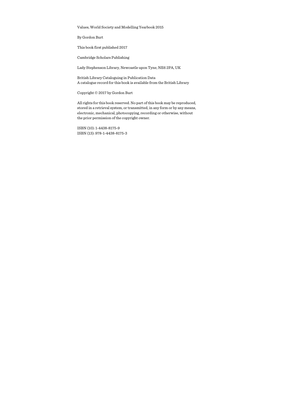Values, World Society and Modelling Yearbook 2015

By Gordon Burt

This book first published 2017

Cambridge Scholars Publishing

Lady Stephenson Library, Newcastle upon Tyne, NE6 2PA, UK

British Library Cataloguing in Publication Data A catalogue record for this book is available from the British Library

Copyright © 2017 by Gordon Burt

All rights for this book reserved. No part of this book may be reproduced, stored in a retrieval system, or transmitted, in any form or by any means, electronic, mechanical, photocopying, recording or otherwise, without the prior permission of the copyright owner.

ISBN (10): 1-4438-8175-9 ISBN (13): 978-1-4438-8175-3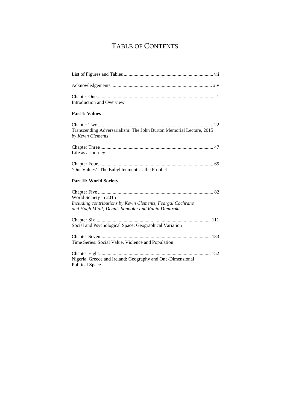# TABLE OF CONTENTS

| Introduction and Overview                                                                                                                   |
|---------------------------------------------------------------------------------------------------------------------------------------------|
| <b>Part I: Values</b>                                                                                                                       |
| Transcending Adversarialism: The John Burton Memorial Lecture, 2015<br>by Kevin Clements                                                    |
| Life as a Journey                                                                                                                           |
| 'Our Values': The Enlightenment  the Prophet                                                                                                |
| <b>Part II: World Society</b>                                                                                                               |
| World Society in 2015<br>Including contributions by Kevin Clements, Feargal Cochrane<br>and Hugh Miall; Dennis Sandole; and Rania Dimitraki |
| Social and Psychological Space: Geographical Variation                                                                                      |
| Time Series: Social Value, Violence and Population                                                                                          |
| Nigeria, Greece and Ireland: Geography and One-Dimensional<br><b>Political Space</b>                                                        |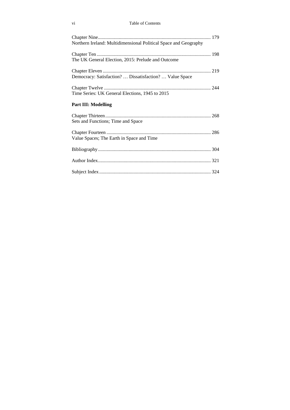#### vi Table of Contents

| Northern Ireland: Multidimensional Political Space and Geography |
|------------------------------------------------------------------|
| The UK General Election, 2015: Prelude and Outcome               |
| Democracy: Satisfaction?  Dissatisfaction?  Value Space          |
| Time Series: UK General Elections, 1945 to 2015                  |
| <b>Part III: Modelling</b>                                       |
| Sets and Functions; Time and Space                               |
| Value Spaces; The Earth in Space and Time                        |
|                                                                  |
|                                                                  |
|                                                                  |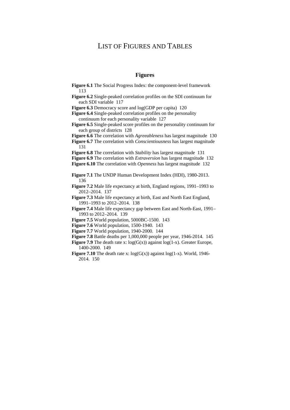# LIST OF FIGURES AND TABLES

## **Figures**

| Figure 6.1 The Social Progress Index: the component-level framework<br>113                      |
|-------------------------------------------------------------------------------------------------|
| Figure 6.2 Single-peaked correlation profiles on the SDI continuum for<br>each SDI variable 117 |
| Figure 6.3 Democracy score and log(GDP per capita) 120                                          |
| Figure 6.4 Single-peaked correlation profiles on the personality                                |
| continuum for each personality variable 127                                                     |
| Figure 6.5 Single-peaked score profiles on the personality continuum for                        |
| each group of districts 128                                                                     |
| Figure 6.6 The correlation with <i>Agreeableness</i> has largest magnitude 130                  |
| Figure 6.7 The correlation with Conscientiousness has largest magnitude                         |
| 131                                                                                             |
| Figure 6.8 The correlation with Stability has largest magnitude 131                             |
| Figure 6.9 The correlation with <i>Extraversion</i> has largest magnitude 132                   |
| Figure 6.10 The correlation with Openness has largest magnitude $132$                           |
|                                                                                                 |
| Figure 7.1 The UNDP Human Development Index (HDI), 1980-2013.                                   |
| 136                                                                                             |
| Figure 7.2 Male life expectancy at birth, England regions, 1991–1993 to                         |
| 2012-2014. 137                                                                                  |
| Figure 7.3 Male life expectancy at birth, East and North East England,                          |
| 1991-1993 to 2012-2014. 138                                                                     |
| Figure 7.4 Male life expectancy gap between East and North-East, 1991–                          |
| 1993 to 2012-2014. 139                                                                          |
| Figure 7.5 World population, 5000BC-1500. 143                                                   |
| <b>Figure 7.6</b> World population, 1500-1940. 143                                              |
| Figure 7.7 World population, 1940-2000. 144                                                     |
| Figure 7.8 Battle deaths per 1,000,000 people per year, 1946-2014. 145                          |
| <b>Figure 7.9</b> The death rate x: $log(G(x))$ against $log(1-x)$ . Greater Europe,            |
| 1400-2000. 149                                                                                  |

**Figure 7.10** The death rate x:  $log(G(x))$  against  $log(1-x)$ . World, 1946-2014. 150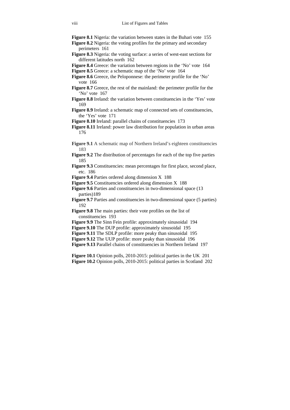**Figure 8.1** Nigeria: the variation between states in the Buhari vote 155

- **Figure 8.2** Nigeria: the voting profiles for the primary and secondary perimeters 161
- **Figure 8.3** Nigeria: the voting surface: a series of west-east sections for different latitudes north 162
- **Figure 8.4** Greece: the variation between regions in the 'No' vote 164
- **Figure 8.5** Greece: a schematic map of the 'No' vote 164
- **Figure 8.6** Greece, the Peloponnese: the perimeter profile for the 'No' vote 166
- **Figure 8.7** Greece, the rest of the mainland: the perimeter profile for the 'No' vote 167
- **Figure 8.8** Ireland: the variation between constituencies in the 'Yes' vote 169
- **Figure 8.9** Ireland: a schematic map of connected sets of constituencies, the 'Yes' vote 171
- **Figure 8.10** Ireland: parallel chains of constituencies 173
- **Figure 8.11** Ireland: power law distribution for population in urban areas 176
- **Figure 9.1** A schematic map of Northern Ireland's eighteen constituencies 183
- **Figure 9.2** The distribution of percentages for each of the top five parties 185
- **Figure 9.3** Constituencies: mean percentages for first place, second place, etc. 186
- **Figure 9.4** Parties ordered along dimension X 188
- **Figure 9.5** Constituencies ordered along dimension X 188
- **Figure 9.6** Parties and constituencies in two-dimensional space (13) parties)189
- **Figure 9.7** Parties and constituencies in two-dimensional space (5 parties) 192
- **Figure 9.8** The main parties: their vote profiles on the list of constituencies 193
- **Figure 9.9** The Sinn Fein profile: approximately sinusoidal 194
- **Figure 9.10** The DUP profile: approximately sinusoidal 195
- **Figure 9.11** The SDLP profile: more peaky than sinusoidal 195
- **Figure 9.12** The UUP profile: more peaky than sinusoidal 196
- **Figure 9.13** Parallel chains of constituencies in Northern Ireland 197
- **Figure 10.1** Opinion polls, 2010-2015: political parties in the UK 201 **Figure 10.2** Opinion polls, 2010-2015: political parties in Scotland 202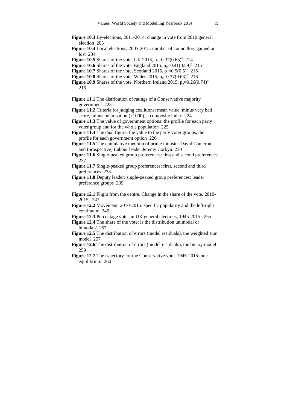- **Figure 10.3** By-elections, 2011-2014: change in vote from 2010 general election 203
- **Figure 10.4** Local elections, 2005-2015: number of councillors gained or lost 204
- **Figure 10.5** Shares of the vote, UK 2015,  $p_n = 0.37(0.63)^n$  214
- **Figure 10.6** Shares of the vote, England 2015,  $p_n = 0.41(0.59)^n$  215
- **Figure 10.7** Shares of the vote, Scotland 2015,  $p_n=0.5(0.5)^n$  215
- **Figure 10.8** Shares of the vote, Wales 2015,  $p_n = 0.37(0.63)^n$  216
- **Figure 10.9** Shares of the vote, Northern Ireland 2015,  $p_n=0.26(0.74)^n$ 216
- **Figure 11.1** The distribution of ratings of a Conservative majority government 223
- **Figure 11.2** Criteria for judging coalitions: mean value, minus very bad score, minus polarisation (x1000), a composite index 224
- **Figure 11.3** The value of government options: the profile for each party voter group and for the whole population 225
- **Figure 11.4** The dual figure: the value to the party voter groups, the profile for each government option 226
- **Figure 11.5** The cumulative mention of prime minister David Cameron and (prospective) Labour leader Jeremy Corbyn 230
- **Figure 11.6** Single-peaked group preferences: first and second preferences 237
- **Figure 11.7** Single-peaked group preferences: first, second and third preferences 238
- **Figure 11.8** Deputy leader: single-peaked group preferences: leader preference groups 239
- **Figure 12.1** Flight from the centre. Change in the share of the vote, 2010-2015. 247
- **Figure 12.2** Movement, 2010-2015: specific popularity and the left-right continuum 249
- **Figure 12.3** Percentage votes in UK general elections, 1945-2015. 255
- **Figure 12.4** The share of the vote: is the distribution unimodal or bimodal? 257
- **Figure 12.5** The distribution of errors (model residuals), the weighted sum model 257
- **Figure 12.6** The distribution of errors (model residuals), the binary model 259
- **Figure 12.7** The trajectory for the Conservative vote, 1945-2015: one equilibrium 260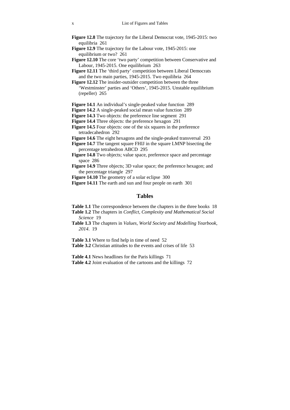- **Figure 12.8** The trajectory for the Liberal Democrat vote, 1945-2015: two equilibria 261
- **Figure 12.9** The trajectory for the Labour vote, 1945-2015: one equilibrium or two? 261
- Figure 12.10 The core 'two party' competition between Conservative and Labour, 1945-2015. One equilibrium 263
- Figure 12.11 The 'third party' competition between Liberal Democrats and the two main parties, 1945-2015. Two equilibria 264
- **Figure 12.12** The insider-outsider competition between the three 'Westminster' parties and 'Others', 1945-2015. Unstable equilibrium (repeller) 265
- **Figure 14.1** An individual's single-peaked value function 289
- **Figure 14.2** A single-peaked social mean value function 289
- **Figure 14.3** Two objects: the preference line segment 291
- **Figure 14.4** Three objects: the preference hexagon 291
- Figure 14.5 Four objects: one of the six squares in the preference tetradecahedron 292
- **Figure 14.6** The eight hexagons and the single-peaked transversal 293
- **Figure 14.7** The tangent square FHIJ in the square LMNP bisecting the percentage tetrahedron ABCD 295
- Figure 14.8 Two objects; value space, preference space and percentage space 286
- **Figure 14.9** Three objects; 3D value space; the preference hexagon; and the percentage triangle 297
- **Figure 14.10** The geometry of a solar eclipse 300
- **Figure 14.11** The earth and sun and four people on earth 301

#### **Tables**

- **Table 1.1** The correspondence between the chapters in the three books 18
- **Table 1.2** The chapters in *Conflict, Complexity and Mathematical Social Science* 19
- **Table 1.3** The chapters in *Values, World Society and Modelling Yearbook, 2014*. 19

**Table 3.1** Where to find help in time of need 52

**Table 3.2** Christian attitudes to the events and crises of life 53

**Table 4.1** News headlines for the Paris killings 71

**Table 4.2** Joint evaluation of the cartoons and the killings 72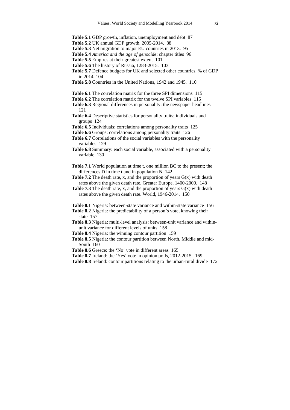- **Table 5.1** GDP growth, inflation, unemployment and debt 87
- **Table 5.2** UK annual GDP growth, 2005-2014. 88
- **Table 5.3** Net migration to major EU countries in 2013. 95
- **Table 5.4** *America and the age of genocide*: chapter titles 96
- **Table 5.5** Empires at their greatest extent 101
- **Table 5.6** The history of Russia, 1283-2015. 103
- **Table 5.7** Defence budgets for UK and selected other countries, % of GDP in 2014 104
- **Table 5.8** Countries in the United Nations, 1942 and 1945. 110
- **Table 6.1** The correlation matrix for the three SPI dimensions 115
- **Table 6.2** The correlation matrix for the twelve SPI variables 115
- **Table 6.3** Regional differences in personality: the newspaper headlines 121
- **Table 6.4** Descriptive statistics for personality traits; individuals and groups 124
- **Table 6.5** Individuals: correlations among personality traits 125
- **Table 6.6** Groups: correlations among personality traits 126
- **Table 6.7** Correlations of the social variables with the personality variables 129
- **Table 6.8** Summary: each social variable, associated with a personality variable 130
- **Table 7.1** World population at time t, one million BC to the present; the differences D in time t and in population N 142
- **Table 7.2** The death rate, x, and the proportion of years  $G(x)$  with death rates above the given death rate. Greater Europe, 1400-2000. 148
- **Table 7.3** The death rate, x, and the proportion of years  $G(x)$  with death rates above the given death rate. World, 1946-2014. 150
- **Table 8.1** Nigeria: between-state variance and within-state variance 156
- **Table 8.2** Nigeria: the predictability of a person's vote, knowing their state 157
- **Table 8.3** Nigeria: multi-level analysis: between-unit variance and withinunit variance for different levels of units 158
- **Table 8.4** Nigeria: the winning contour partition 159
- **Table 8.5** Nigeria: the contour partition between North, Middle and mid-South 160
- Table 8.6 Greece: the 'No' vote in different areas 165
- **Table 8.7** Ireland: the 'Yes' vote in opinion polls, 2012-2015. 169
- **Table 8.8** Ireland: contour partitions relating to the urban-rural divide 172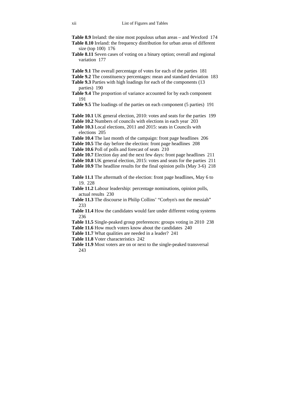**Table 8.9** Ireland: the nine most populous urban areas – and Wexford 174

- **Table 8.10** Ireland: the frequency distribution for urban areas of different size (top 100) 176
- **Table 8.11** Seven cases of voting on a binary option; overall and regional variation 177
- **Table 9.1** The overall percentage of votes for each of the parties 181
- **Table 9.2** The constituency percentages: mean and standard deviation 183
- **Table 9.3** Parties with high loadings for each of the components (13 parties) 190
- **Table 9.4** The proportion of variance accounted for by each component 191
- **Table 9.5** The loadings of the parties on each component (5 parties) 191
- **Table 10.1** UK general election, 2010: votes and seats for the parties 199
- **Table 10.2** Numbers of councils with elections in each year 203
- **Table 10.3** Local elections, 2011 and 2015: seats in Councils with elections 205
- **Table 10.4** The last month of the campaign: front page headlines 206
- **Table 10.5** The day before the election: front page headlines 208
- **Table 10.6** Poll of polls and forecast of seats 210
- **Table 10.7** Election day and the next few days: front page headlines 211
- **Table 10.8** UK general election, 2015: votes and seats for the parties 211

**Table 10.9** The headline results for the final opinion polls (May 3-6) 218

- **Table 11.1** The aftermath of the election: front page headlines, May 6 to 19. 228
- **Table 11.2** Labour leadership: percentage nominations, opinion polls, actual results 230
- **Table 11.3** The discourse in Philip Collins' "Corbyn's not the messiah" 233
- **Table 11.4** How the candidates would fare under different voting systems 236
- **Table 11.5** Single-peaked group preferences: groups voting in 2010 238
- Table 11.6 How much voters know about the candidates 240
- **Table 11.7** What qualities are needed in a leader? 241
- **Table 11.8** Voter characteristics 242
- **Table 11.9** Most voters are on or next to the single-peaked transversal 243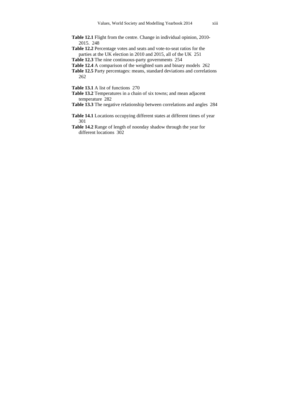- Table 12.1 Flight from the centre. Change in individual opinion, 2010-2015. 248
- **Table 12.2** Percentage votes and seats and vote-to-seat ratios for the parties at the UK election in 2010 and 2015, all of the UK 251
- **Table 12.3** The nine continuous-party governments 254
- **Table 12.4** A comparison of the weighted sum and binary models 262
- **Table 12.5** Party percentages: means, standard deviations and correlations 262
- **Table 13.1** A list of functions 270
- **Table 13.2** Temperatures in a chain of six towns; and mean adjacent temperature 282
- **Table 13.3** The negative relationship between correlations and angles 284
- **Table 14.1** Locations occupying different states at different times of year 301
- **Table 14.2** Range of length of noonday shadow through the year for different locations 302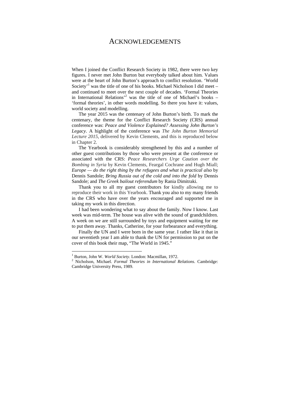### ACKNOWLEDGEMENTS

When I joined the Conflict Research Society in 1982, there were two key figures. I never met John Burton but everybody talked about him. Values were at the heart of John Burton's approach to conflict resolution. 'World Society<sup>'1</sup> was the title of one of his books. Michael Nicholson I did meet  $$ and continued to meet over the next couple of decades. 'Formal Theories in International Relations<sup> $2$ </sup> was the title of one of Michael's books – 'formal theories', in other words modelling. So there you have it: values, world society and modelling.

The year 2015 was the centenary of John Burton's birth. To mark the centenary, the theme for the Conflict Research Society (CRS) annual conference was: *Peace and Violence Explained? Assessing John Burton's Legacy*. A highlight of the conference was *The John Burton Memorial Lecture 2015*, delivered by Kevin Clements, and this is reproduced below in Chapter 2.

The Yearbook is considerably strengthened by this and a number of other guest contributions by those who were present at the conference or associated with the CRS: *Peace Researchers Urge Caution over the Bombing in Syria* by Kevin Clements, Feargal Cochrane and Hugh Miall; *Europe — do the right thing by the refugees and what is practical also* by Dennis Sandole; *Bring Russia out of the cold and into the fold* by Dennis Sandole; and *The Greek bailout referendum* by Rania Dimitraki.

Thank you to all my guest contributors for kindly allowing me to reproduce their work in this Yearbook. Thank you also to my many friends in the CRS who have over the years encouraged and supported me in taking my work in this direction.

I had been wondering what to say about the family. Now I know. Last week was mid-term. The house was alive with the sound of grandchildren. A week on we are still surrounded by toys and equipment waiting for me to put them away. Thanks, Catherine, for your forbearance and everything.

Finally the UN and I were born in the same year. I rather like it that in our seventieth year I am able to thank the UN for permission to put on the cover of this book their map, "The World in 1945."

 $\overline{a}$ 

<sup>&</sup>lt;sup>1</sup> Burton, John W. *World Society*. London: Macmillan, 1972.

Nicholson, Michael. *Formal Theories in International Relations*. Cambridge: Cambridge University Press, 1989.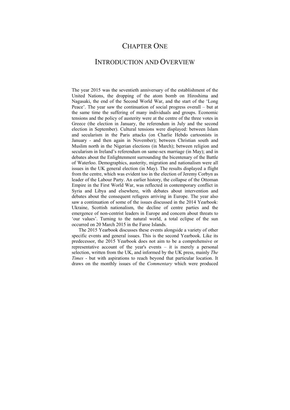## CHAPTER ONE

## INTRODUCTION AND OVERVIEW

The year 2015 was the seventieth anniversary of the establishment of the United Nations, the dropping of the atom bomb on Hiroshima and Nagasaki, the end of the Second World War, and the start of the 'Long Peace'. The year saw the continuation of social progress overall – but at the same time the suffering of many individuals and groups. Economic tensions and the policy of austerity were at the centre of the three votes in Greece (the election in January, the referendum in July and the second election in September). Cultural tensions were displayed: between Islam and secularism in the Paris attacks (on Charlie Hebdo cartoonists in January - and then again in November); between Christian south and Muslim north in the Nigerian elections (in March); between religion and secularism in Ireland's referendum on same-sex marriage (in May); and in debates about the Enlightenment surrounding the bicentenary of the Battle of Waterloo. Demographics, austerity, migration and nationalism were all issues in the UK general election (in May). The results displayed a flight from the centre, which was evident too in the election of Jeremy Corbyn as leader of the Labour Party. An earlier history, the collapse of the Ottoman Empire in the First World War, was reflected in contemporary conflict in Syria and Libya and elsewhere, with debates about intervention and debates about the consequent refugees arriving in Europe. The year also saw a continuation of some of the issues discussed in the 2014 Yearbook: Ukraine, Scottish nationalism, the decline of centre parties and the emergence of non-centrist leaders in Europe and concern about threats to 'our values'. Turning to the natural world, a total eclipse of the sun occurred on 20 March 2015 in the Faroe Islands.

The 2015 Yearbook discusses these events alongside a variety of other specific events and general issues. This is the second Yearbook. Like its predecessor, the 2015 Yearbook does not aim to be a comprehensive or representative account of the year's events – it is merely a personal selection, written from the UK, and informed by the UK press, mainly *The Times* - but with aspirations to reach beyond that particular location. It draws on the monthly issues of the *Commentary* which were produced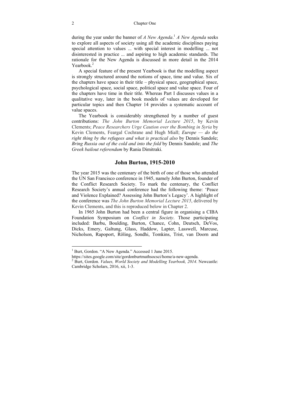during the year under the banner of *A New Agenda*. <sup>1</sup> *A New Agenda* seeks to explore all aspects of society using all the academic disciplines paying special attention to values ... with special interest in modelling ... not disinterested in practice ... and aspiring to high academic standards. The rationale for the New Agenda is discussed in more detail in the 2014 Yearbook<sup>2</sup>

A special feature of the present Yearbook is that the modelling aspect is strongly structured around the notions of space, time and value. Six of the chapters have space in their title – physical space, geographical space, psychological space, social space, political space and value space. Four of the chapters have time in their title. Whereas Part I discusses values in a qualitative way, later in the book models of values are developed for particular topics and then Chapter 14 provides a systematic account of value spaces.

The Yearbook is considerably strengthened by a number of guest contributions: *The John Burton Memorial Lecture 2015*, by Kevin Clements; *Peace Researchers Urge Caution over the Bombing in Syria* by Kevin Clements, Feargal Cochrane and Hugh Miall; *Europe — do the right thing by the refugees and what is practical also* by Dennis Sandole; *Bring Russia out of the cold and into the fold* by Dennis Sandole; and *The Greek bailout referendum* by Rania Dimitraki.

#### **John Burton, 1915-2010**

The year 2015 was the centenary of the birth of one of those who attended the UN San Francisco conference in 1945, namely John Burton, founder of the Conflict Research Society. To mark the centenary, the Conflict Research Society's annual conference had the following theme: 'Peace and Violence Explained? Assessing John Burton's Legacy'. A highlight of the conference was *The John Burton Memorial Lecture 2015*, delivered by Kevin Clements, and this is reproduced below in Chapter 2.

In 1965 John Burton had been a central figure in organising a CIBA Foundation Symposium on *Conflict in Society*. Those participating included: Barbu, Boulding, Burton, Chance, Cohn, Deutsch, DeVos, Dicks, Emery, Galtung, Glass, Haddow, Lapter, Lasswell, Marcuse, Nicholson, Rapoport, Röling, Sondhi, Tomkins, Trist, van Doorn and

 $\overline{a}$ 

<sup>&</sup>lt;sup>1</sup> Burt, Gordon. "A New Agenda." Accessed 1 June 2015.

https://sites.google.com/site/gordonburtmathsocsci/home/a-new-agenda.

Burt, Gordon. *Values, World Society and Modelling Yearbook, 2014*. Newcastle: Cambridge Scholars, 2016, xii, 1-3.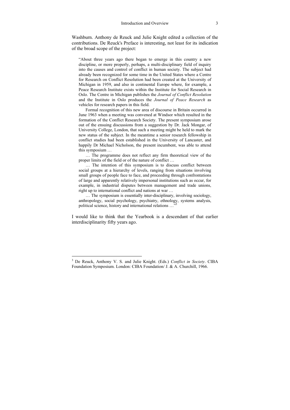Washburn. Anthony de Reuck and Julie Knight edited a collection of the contributions. De Reuck's Preface is interesting, not least for its indication of the broad scope of the project:

"About three years ago there began to emerge in this country a new discipline, or more properly, perhaps, a multi-disciplinary field of inquiry into the causes and control of conflict in human society. The subject had already been recognized for some time in the United States where a Centre for Research on Conflict Resolution had been created at the University of Michigan in 1959, and also in continental Europe where, for example, a Peace Research Institute exists within the Institute for Social Research in Oslo. The Centre in Michigan publishes the *Journal of Conflict Resolution* and the Institute in Oslo produces the *Journal of Peace Research* as vehicles for research papers in this field.

Formal recognition of this new area of discourse in Britain occurred in June 1963 when a meeting was convened at Windsor which resulted in the formation of the Conflict Research Society. The present symposium arose out of the ensuing discussions from a suggestion by Dr. Jack Mongar, of University College, London, that such a meeting might be held to mark the new status of the subject. In the meantime a senior research fellowship in conflict studies had been established in the University of Lancaster, and happily Dr Michael Nicholson, the present incumbent, was able to attend this symposium …

… The programme does not reflect any firm theoretical view of the proper limits of the field or of the nature of conflict …

… The intention of this symposium is to discuss conflict between social groups at a hierarchy of levels, ranging from situations involving small groups of people face to face, and proceeding through confrontations of large and apparently relatively impersonal institutions such as occur, for example, in industrial disputes between management and trade unions, right up to international conflict and nations at war …

… The symposium is essentially inter-disciplinary, involving sociology, anthropology, social psychology, psychiatry, ethnology, systems analysis, political science, history and international relations ...

I would like to think that the Yearbook is a descendant of that earlier interdisciplinarity fifty years ago.

 $\overline{a}$ 

<sup>3</sup> De Reuck, Anthony V. S. and Julie Knight. (Eds.) *Conflict in Society*. CIBA Foundation Symposium. London: CIBA Foundation/ J. & A. Churchill, 1966.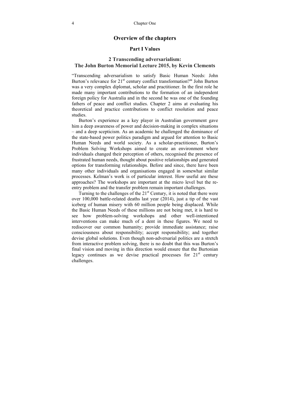#### **Overview of the chapters**

#### **Part I Values**

#### **2 Transcending adversarialism: The John Burton Memorial Lecture 2015, by Kevin Clements**

"Transcending adversarialism to satisfy Basic Human Needs: John Burton's relevance for 21st century conflict transformation?**"** John Burton was a very complex diplomat, scholar and practitioner. In the first role he made many important contributions to the formation of an independent foreign policy for Australia and in the second he was one of the founding fathers of peace and conflict studies. Chapter 2 aims at evaluating his theoretical and practice contributions to conflict resolution and peace studies.

Burton's experience as a key player in Australian government gave him a deep awareness of power and decision-making in complex situations – and a deep scepticism. As an academic he challenged the dominance of the state-based power politics paradigm and argued for attention to Basic Human Needs and world society. As a scholar-practitioner, Burton's Problem Solving Workshops aimed to create an environment where individuals changed their perception of others, recognised the presence of frustrated human needs, thought about positive relationships and generated options for transforming relationships. Before and since, there have been many other individuals and organisations engaged in somewhat similar processes. Kelman's work is of particular interest. How useful are these approaches? The workshops are important at the micro level but the reentry problem and the transfer problem remain important challenges.

Turning to the challenges of the  $21<sup>st</sup>$  Century, it is noted that there were over 100,000 battle-related deaths last year (2014), just a tip of the vast iceberg of human misery with 60 million people being displaced. While the Basic Human Needs of these millions are not being met, it is hard to see how problem-solving workshops and other well-intentioned interventions can make much of a dent in these figures. We need to rediscover our common humanity; provide immediate assistance; raise consciousness about responsibility; accept responsibility; and together devise global solutions. Even though non-adversarial politics are a stretch from interactive problem solving, there is no doubt that this was Burton's final vision and moving in this direction would ensure that the Burtonian legacy continues as we devise practical processes for  $21<sup>st</sup>$  century challenges.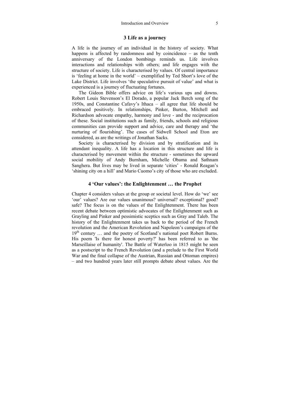#### **3 Life as a journey**

A life is the journey of an individual in the history of society. What happens is affected by randomness and by coincidence – as the tenth anniversary of the London bombings reminds us. Life involves interactions and relationships with others; and life engages with the structure of society. Life is characterised by values. Of central importance is 'feeling at home in the world' – exemplified by Ted Short's love of the Lake District. Life involves 'the speculative pursuit of value' and what is experienced is a journey of fluctuating fortunes.

The Gideon Bible offers advice on life's various ups and downs. Robert Louis Stevenson's El Dorado, a popular Jack Berch song of the 1950s, and Constantine Cafavy's Ithaca – all agree that life should be embraced positively. In relationships, Pinker, Burton, Mitchell and Richardson advocate empathy, harmony and love - and the reciprocation of these. Social institutions such as family, friends, schools and religious communities can provide support and advice, care and therapy and 'the nurturing of flourishing'. The cases of Sidwell School and Eton are considered, as are the writings of Jonathan Sacks.

Society is characterised by division and by stratification and its attendant inequality. A life has a location in this structure and life is characterised by movement within the structure - sometimes the upward social mobility of Andy Burnham, Michelle Obama and Sathnam Sanghera. But lives may be lived in separate 'cities' - Ronald Reagan's 'shining city on a hill' and Mario Cuomo's city of those who are excluded.

#### **4 'Our values': the Enlightenment … the Prophet**

Chapter 4 considers values at the group or societal level. How do 'we' see 'our' values? Are our values unanimous? universal? exceptional? good? safe? The focus is on the values of the Enlightenment. There has been recent debate between optimistic advocates of the Enlightenment such as Grayling and Pinker and pessimistic sceptics such as Gray and Taleb. The history of the Enlightenment takes us back to the period of the French revolution and the American Revolution and Napoleon's campaigns of the 19<sup>th</sup> century ... and the poetry of Scotland's national poet Robert Burns. His poem 'Is there for honest poverty?' has been referred to as 'the Marseillaise of humanity'. The Battle of Waterloo in 1815 might be seen as a postscript to the French Revolution (and a prelude to the First World War and the final collapse of the Austrian, Russian and Ottoman empires) – and two hundred years later still prompts debate about values. Are the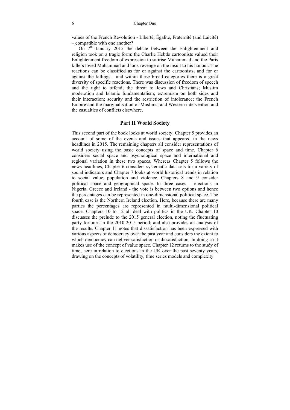values of the French Revolution - Liberté, Égalité, Fraternité (and Laïcité) – compatible with one another?

On  $7<sup>th</sup>$  January 2015 the debate between the Enlightenment and religion took on a tragic form: the Charlie Hebdo cartoonists valued their Enlightenment freedom of expression to satirise Muhammad and the Paris killers loved Muhammad and took revenge on the insult to his honour. The reactions can be classified as for or against the cartoonists, and for or against the killings - and within these broad categories there is a great diversity of specific reactions. There was discussion of freedom of speech and the right to offend; the threat to Jews and Christians; Muslim moderation and Islamic fundamentalism; extremism on both sides and their interaction; security and the restriction of intolerance; the French Empire and the marginalisation of Muslims; and Western intervention and the casualties of conflicts elsewhere.

#### **Part II World Society**

This second part of the book looks at world society. Chapter 5 provides an account of some of the events and issues that appeared in the news headlines in 2015. The remaining chapters all consider representations of world society using the basic concepts of space and time. Chapter 6 considers social space and psychological space and international and regional variation in these two spaces. Whereas Chapter 5 follows the news headlines, Chapter 6 considers systematic data sets for a variety of social indicators and Chapter 7 looks at world historical trends in relation to social value, population and violence. Chapters 8 and 9 consider political space and geographical space. In three cases – elections in Nigeria, Greece and Ireland - the vote is between two options and hence the percentages can be represented in one-dimensional political space. The fourth case is the Northern Ireland election. Here, because there are many parties the percentages are represented in multi-dimensional political space. Chapters 10 to 12 all deal with politics in the UK. Chapter 10 discusses the prelude to the 2015 general election, noting the fluctuating party fortunes in the 2010-2015 period; and also provides an analysis of the results. Chapter 11 notes that dissatisfaction has been expressed with various aspects of democracy over the past year and considers the extent to which democracy can deliver satisfaction or dissatisfaction. In doing so it makes use of the concept of value space. Chapter 12 returns to the study of time, here in relation to elections in the UK over the past seventy years, drawing on the concepts of volatility, time series models and complexity.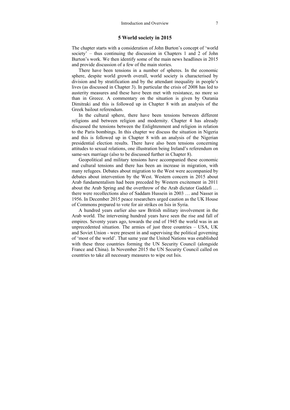#### **5 World society in 2015**

The chapter starts with a consideration of John Burton's concept of 'world society' – thus continuing the discussion in Chapters 1 and 2 of John Burton's work. We then identify some of the main news headlines in 2015 and provide discussion of a few of the main stories.

There have been tensions in a number of spheres. In the economic sphere, despite world growth overall, world society is characterised by division and by stratification and by the attendant inequality in people's lives (as discussed in Chapter 3). In particular the crisis of 2008 has led to austerity measures and these have been met with resistance, no more so than in Greece. A commentary on the situation is given by Ourania Dimitraki and this is followed up in Chapter 8 with an analysis of the Greek bailout referendum.

In the cultural sphere, there have been tensions between different religions and between religion and modernity. Chapter 4 has already discussed the tensions between the Enlightenment and religion in relation to the Paris bombings. In this chapter we discuss the situation in Nigeria and this is followed up in Chapter 8 with an analysis of the Nigerian presidential election results. There have also been tensions concerning attitudes to sexual relations, one illustration being Ireland's referendum on same-sex marriage (also to be discussed further in Chapter 8).

Geopolitical and military tensions have accompanied these economic and cultural tensions and there has been an increase in migration, with many refugees. Debates about migration to the West were accompanied by debates about intervention by the West. Western concern in 2015 about Arab fundamentalism had been preceded by Western excitement in 2011 about the Arab Spring and the overthrow of the Arab dictator Gaddafi … there were recollections also of Saddam Hussein in 2003 … and Nasser in 1956. In December 2015 peace researchers urged caution as the UK House of Commons prepared to vote for air strikes on Isis in Syria.

A hundred years earlier also saw British military involvement in the Arab world. The intervening hundred years have seen the rise and fall of empires. Seventy years ago, towards the end of 1945 the world was in an unprecedented situation. The armies of just three countries – USA, UK and Soviet Union - were present in and supervising the political governing of 'most of the world'. That same year the United Nations was established with these three countries forming the UN Security Council (alongside France and China). In November 2015 the UN Security Council called on countries to take all necessary measures to wipe out Isis.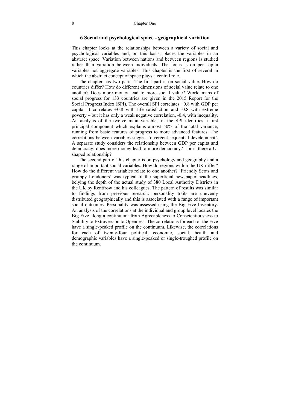#### **6 Social and psychological space - geographical variation**

This chapter looks at the relationships between a variety of social and psychological variables and, on this basis, places the variables in an abstract space. Variation between nations and between regions is studied rather than variation between individuals. The focus is on per capita variables not aggregate variables. This chapter is the first of several in which the abstract concept of space plays a central role.

The chapter has two parts. The first part is on social value. How do countries differ? How do different dimensions of social value relate to one another? Does more money lead to more social value? World maps of social progress for 133 countries are given in the 2015 Report for the Social Progress Index (SPI). The overall SPI correlates +0.8 with GDP per capita. It correlates  $+0.8$  with life satisfaction and  $-0.8$  with extreme poverty – but it has only a weak negative correlation, -0.4, with inequality. An analysis of the twelve main variables in the SPI identifies a first principal component which explains almost 50% of the total variance, running from basic features of progress to more advanced features. The correlations between variables suggest 'divergent sequential development'. A separate study considers the relationship between GDP per capita and democracy: does more money lead to more democracy? - or is there a Ushaped relationship?

The second part of this chapter is on psychology and geography and a range of important social variables. How do regions within the UK differ? How do the different variables relate to one another? 'Friendly Scots and grumpy Londoners' was typical of the superficial newspaper headlines, belying the depth of the actual study of 380 Local Authority Districts in the UK by Rentfrow and his colleagues. The pattern of results was similar to findings from previous research: personality traits are unevenly distributed geographically and this is associated with a range of important social outcomes. Personality was assessed using the Big Five Inventory. An analysis of the correlations at the individual and group level locates the Big Five along a continuum: from Agreeableness to Conscientiousness to Stability to Extraversion to Openness. The correlations for each of the Five have a single-peaked profile on the continuum. Likewise, the correlations for each of twenty-four political, economic, social, health and demographic variables have a single-peaked or single-troughed profile on the continuum.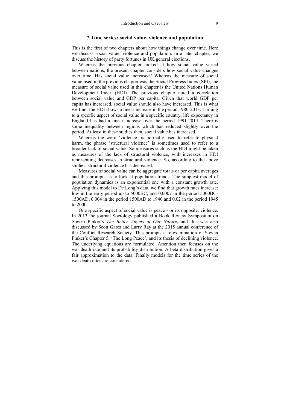#### **7 Time series: social value, violence and population**

This is the first of two chapters about how things change over time. Here we discuss social value, violence and population. In a later chapter, we discuss the history of party fortunes in UK general elections.

Whereas the previous chapter looked at how social value varied between nations, the present chapter considers how social value changes over time. Has social value increased? Whereas the measure of social value used in the previous chapter was the Social Progress Index (SPI), the measure of social value used in this chapter is the United Nations Human Development Index (HDI). The previous chapter noted a correlation between social value and GDP per capita. Given that world GDP per capita has increased, social value should also have increased. This is what we find: the HDI shows a linear increase in the period 1980-2013. Turning to a specific aspect of social value in a specific country, life expectancy in England has had a linear increase over the period 1991-2014. There is some inequality between regions which has reduced slightly over the period. At least in these studies then, social value has increased.

Whereas the word 'violence' is normally used to refer to physical harm, the phrase 'structural violence' is sometimes used to refer to a broader lack of social value. So measures such as the HDI might be taken as measures of the lack of structural violence, with increases in HDI representing decreases in structural violence. So, according to the above studies, structural violence has decreased.

Measures of social value can be aggregate totals or per capita averages and this prompts us to look at population trends. The simplest model of population dynamics is an exponential one with a constant growth rate. Applying this model to De Long's data, we find that growth rates increase: low in the early period up to 5000BC; and 0.0007 in the period 5000BC-1500AD, 0.004 in the period 1500AD to 1940 and 0.02 in the period 1945 to 2000.

One specific aspect of social value is peace - or its opposite, violence. In 2013 the journal Sociology published a Book Review Symposium on Steven Pinker's *The Better Angels of Our Nature*, and this was also discussed by Scott Gates and Larry Ray at the 2015 annual conference of the Conflict Research Society. This prompts a re-examination of Steven Pinker's Chapter 5, 'The Long Peace', and its thesis of declining violence. The underlying equations are formulated. Attention then focuses on the war death rate and its probability distribution. A beta distribution gives a fair approximation to the data. Finally models for the time series of the war death rates are considered.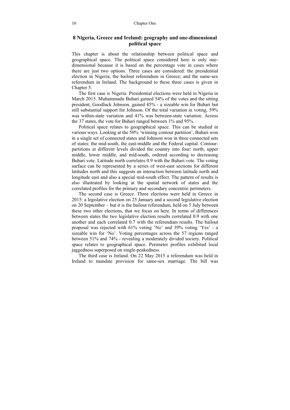#### **8 Nigeria, Greece and Ireland: geography and one-dimensional political space**

This chapter is about the relationship between political space and geographical space. The political space considered here is only onedimensional because it is based on the percentage vote in cases where there are just two options. Three cases are considered: the presidential election in Nigeria; the bailout referendum in Greece; and the same-sex referendum in Ireland. The background to these three cases is given in Chapter 5.

The first case is Nigeria. Presidential elections were held in Nigeria in March 2015. Muhammadu Buhari gained 54% of the votes and the sitting president, Goodluck Johnson, gained 45% - a sizeable win for Buhari but still substantial support for Johnson. Of the total variation in voting, 59% was within-state variation and 41% was between-state variation. Across the 37 states, the vote for Buhari ranged between 1% and 95%.

Political space relates to geographical space. This can be studied in various ways. Looking at the 50% 'winning contour partition', Buhari won in a single set of connected states and Johnson won in three connected sets of states: the mid-south, the east-middle and the Federal capital. Contourpartitions at different levels divided the country into four: north, upper middle, lower middle, and mid-south, ordered according to decreasing Buhari vote. Latitude north correlates 0.9 with the Buhari vote. The voting surface can be represented by a series of west-east sections for different latitudes north and this suggests an interaction between latitude north and longitude east and also a special mid-south effect. The pattern of results is also illustrated by looking at the spatial network of states and the correlated profiles for the primary and secondary concentric perimeters.

The second case is Greece. Three elections were held in Greece in 2015: a legislative election on 25 January and a second legislative election on 20 September – but it is the bailout referendum, held on 5 July between these two other elections, that we focus on here. In terms of differences between states the two legislative election results correlated 0.9 with one another and each correlated 0.7 with the referendum results. The bailout proposal was rejected with 61% voting 'No' and 39% voting 'Yes' - a sizeable win for 'No'. Voting percentages across the 57 regions ranged between 51% and 74% - revealing a moderately divided society. Political space relates to geographical space. Perimeter profiles exhibited local jaggedness superposed on single-peakedness.

The third case is Ireland. On 22 May 2015 a referendum was held in Ireland to mandate provision for same-sex marriage. The bill was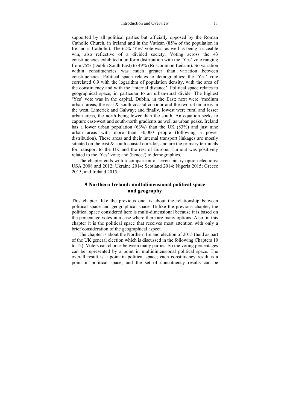supported by all political parties but officially opposed by the Roman Catholic Church, in Ireland and in the Vatican (85% of the population in Ireland is Catholic). The 62% 'Yes' vote was, as well as being a sizeable win, also reflective of a divided society. Voting across the 43 constituencies exhibited a uniform distribution with the 'Yes' vote ranging from 75% (Dublin South East) to 49% (Roscommon Leitrim). So variation within constituencies was much greater than variation between constituencies. Political space relates to demographics: the 'Yes' vote correlated 0.9 with the logarithm of population density, with the area of the constituency and with the 'internal distance'. Political space relates to geographical space, in particular to an urban-rural divide. The highest 'Yes' vote was in the capital, Dublin, in the East; next were 'medium urban' areas, the east  $\&$  south coastal corridor and the two urban areas in the west, Limerick and Galway; and finally, lowest were rural and lesser urban areas, the north being lower than the south. An equation seeks to capture east-west and south-north gradients as well as urban peaks. Ireland has a lower urban population (63%) than the UK (83%) and just nine urban areas with more than 30,000 people (following a power distribution). These areas and their internal transport linkages are mostly situated on the east  $\&$  south coastal corridor, and are the primary terminals for transport to the UK and the rest of Europe. Turnout was positively related to the 'Yes' vote; and (hence?) to demographics.

The chapter ends with a comparison of seven binary-option elections: USA 2008 and 2012; Ukraine 2014; Scotland 2014; Nigeria 2015; Greece 2015; and Ireland 2015.

#### **9 Northern Ireland: multidimensional political space and geography**

This chapter, like the previous one, is about the relationship between political space and geographical space. Unlike the previous chapter, the political space considered here is multi-dimensional because it is based on the percentage votes in a case where there are many options. Also, in this chapter it is the political space that receives most attention with only a brief consideration of the geographical aspect.

The chapter is about the Northern Ireland election of 2015 (held as part of the UK general election which is discussed in the following Chapters 10 to 12). Voters can choose between many parties. So the voting percentages can be represented by a point in multidimensional political space. The overall result is a point in political space; each constituency result is a point in political space; and the set of constituency results can be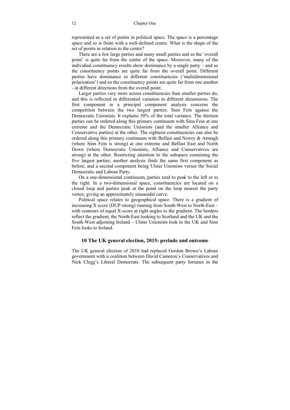represented as a set of points in political space. The space is a percentage space and so is finite with a well-defined centre. What is the shape of the set of points in relation to the centre?

There are a few large parties and many small parties and so the 'overall point' is quite far from the centre of the space. Moreover, many of the individual constituency results show dominance by a single party – and so the constituency points are quite far from the overall point. Different parties have dominance in different constituencies ('multidimensional polarisation') and so the constituency points are quite far from one another - in different directions from the overall point.

Larger parties vary more across constituencies than smaller parties do, and this is reflected in differential variation in different dimensions. The first component in a principal component analysis concerns the competition between the two largest parties: Sinn Fein against the Democratic Unionists. It explains 30% of the total variance. The thirteen parties can be ordered along this primary continuum with Sinn Fein at one extreme and the Democratic Unionists (and the smaller Alliance and Conservative parties) at the other. The eighteen constituencies can also be ordered along this primary continuum with Belfast and Newry & Armagh (where Sinn Fein is strong) at one extreme and Belfast East and North Down (where Democratic Unionists, Alliance and Conservatives are strong) at the other. Restricting attention to the subspace containing the five largest parties, another analysis finds the same first component as before, and a second component being Ulster Unionists versus the Social Democratic and Labour Party.

On a one-dimensional continuum, parties tend to peak to the left or to the right. In a two-dimensional space, constituencies are located on a closed loop and parties peak at the point on the loop nearest the party vertex, giving an approximately sinusoidal curve.

Political space relates to geographical space. There is a gradient of increasing X score (DUP strong) running from South-West to North-East – with contours of equal X-score at right angles to the gradient. The borders reflect the gradient, the North-East looking to Scotland and the UK and the South-West adjoining Ireland – Ulster Unionists look to the UK and Sinn Fein looks to Ireland.

#### **10 The UK general election, 2015: prelude and outcome**

The UK general election of 2010 had replaced Gordon Brown's Labour government with a coalition between David Cameron's Conservatives and Nick Clegg's Liberal Democrats. The subsequent party fortunes in the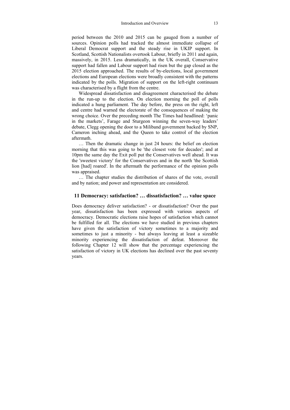period between the 2010 and 2015 can be gauged from a number of sources. Opinion polls had tracked the almost immediate collapse of Liberal Democrat support and the steady rise in UKIP support. In Scotland, Scottish Nationalists overtook Labour, briefly in 2011 and again, massively, in 2015. Less dramatically, in the UK overall, Conservative support had fallen and Labour support had risen but the gap closed as the 2015 election approached. The results of by-elections, local government elections and European elections were broadly consistent with the patterns indicated by the polls. Migration of support on the left-right continuum was characterised by a flight from the centre.

Widespread dissatisfaction and disagreement characterised the debate in the run-up to the election. On election morning the poll of polls indicated a hung parliament. The day before, the press on the right, left and centre had warned the electorate of the consequences of making the wrong choice. Over the preceding month The Times had headlined: 'panic in the markets', Farage and Sturgeon winning the seven-way leaders' debate, Clegg opening the door to a Miliband government backed by SNP, Cameron inching ahead, and the Queen to take control of the election aftermath.

… Then the dramatic change in just 24 hours: the belief on election morning that this was going to be 'the closest vote for decades'; and at 10pm the same day the Exit poll put the Conservatives well ahead. It was the 'sweetest victory' for the Conservatives and in the north 'the Scottish lion [had] roared'. In the aftermath the performance of the opinion polls was appraised.

… The chapter studies the distribution of shares of the vote, overall and by nation; and power and representation are considered.

#### **11 Democracy: satisfaction? … dissatisfaction? … value space**

Does democracy deliver satisfaction? - or dissatisfaction? Over the past year, dissatisfaction has been expressed with various aspects of democracy. Democratic elections raise hopes of satisfaction which cannot be fulfilled for all. The elections we have studied in previous chapters have given the satisfaction of victory sometimes to a majority and sometimes to just a minority - but always leaving at least a sizeable minority experiencing the dissatisfaction of defeat. Moreover the following Chapter 12 will show that the percentage experiencing the satisfaction of victory in UK elections has declined over the past seventy years.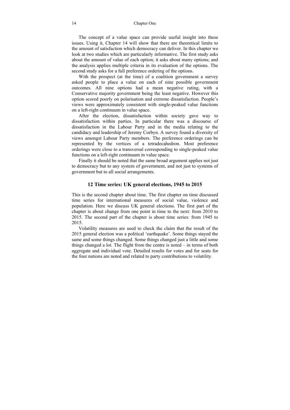The concept of a value space can provide useful insight into these issues. Using it, Chapter 14 will show that there are theoretical limits to the amount of satisfaction which democracy can deliver. In this chapter we look at two studies which are particularly informative. The first study asks about the amount of value of each option; it asks about many options; and the analysis applies multiple criteria in its evaluation of the options. The second study asks for a full preference ordering of the options.

With the prospect (at the time) of a coalition government a survey asked people to place a value on each of nine possible government outcomes. All nine options had a mean negative rating, with a Conservative majority government being the least negative. However this option scored poorly on polarisation and extreme dissatisfaction. People's views were approximately consistent with single-peaked value functions on a left-right continuum in value space.

After the election, dissatisfaction within society gave way to dissatisfaction within parties. In particular there was a discourse of dissatisfaction in the Labour Party and in the media relating to the candidacy and leadership of Jeremy Corbyn. A survey found a diversity of views amongst Labour Party members. The preference orderings can be represented by the vertices of a tetradecahedron. Most preference orderings were close to a transversal corresponding to single-peaked value functions on a left-right continuum in value space.

Finally it should be noted that the same broad argument applies not just to democracy but to any system of government, and not just to systems of government but to all social arrangements.

#### **12 Time series: UK general elections, 1945 to 2015**

This is the second chapter about time. The first chapter on time discussed time series for international measures of social value, violence and population. Here we discuss UK general elections. The first part of the chapter is about change from one point in time to the next: from 2010 to 2015. The second part of the chapter is about time series: from 1945 to 2015.

Volatility measures are used to check the claim that the result of the 2015 general election was a political 'earthquake'. Some things stayed the same and some things changed. Some things changed just a little and some things changed a lot. The flight from the centre is noted – in terms of both aggregate and individual vote. Detailed results for votes and for seats for the four nations are noted and related to party contributions to volatility.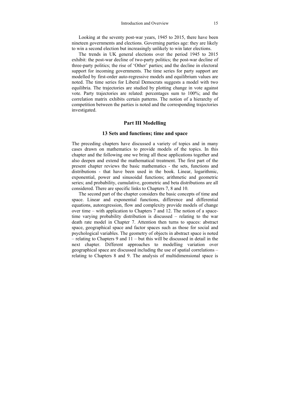Looking at the seventy post-war years, 1945 to 2015, there have been nineteen governments and elections. Governing parties age: they are likely to win a second election but increasingly unlikely to win later elections.

The trends in UK general elections over the period 1945 to 2015 exhibit: the post-war decline of two-party politics; the post-war decline of three-party politics; the rise of 'Other' parties; and the decline in electoral support for incoming governments. The time series for party support are modelled by first-order auto-regressive models and equilibrium values are noted. The time series for Liberal Democrats suggests a model with two equilibria. The trajectories are studied by plotting change in vote against vote. Party trajectories are related: percentages sum to 100%; and the correlation matrix exhibits certain patterns. The notion of a hierarchy of competition between the parties is noted and the corresponding trajectories investigated.

#### **Part III Modelling**

#### **13 Sets and functions; time and space**

The preceding chapters have discussed a variety of topics and in many cases drawn on mathematics to provide models of the topics. In this chapter and the following one we bring all these applications together and also deepen and extend the mathematical treatment. The first part of the present chapter reviews the basic mathematics - the sets, functions and distributions - that have been used in the book. Linear, logarithmic, exponential, power and sinusoidal functions; arithmetic and geometric series; and probability, cumulative, geometric and beta distributions are all considered. There are specific links to Chapters 7, 8 and 10.

The second part of the chapter considers the basic concepts of time and space. Linear and exponential functions, difference and differential equations, autoregression, flow and complexity provide models of change over time – with application to Chapters 7 and 12. The notion of a spacetime varying probability distribution is discussed – relating to the war death rate model in Chapter 7. Attention then turns to spaces: abstract space, geographical space and factor spaces such as those for social and psychological variables. The geometry of objects in abstract space is noted  $-$  relating to Chapters 9 and  $11 -$  but this will be discussed in detail in the next chapter. Different approaches to modelling variation over geographical space are discussed including the use of spatial correlations – relating to Chapters 8 and 9. The analysis of multidimensional space is